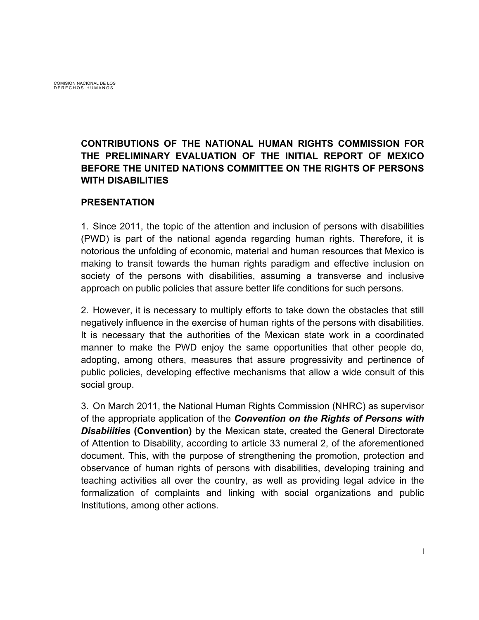COMISION NACIONAL DE LOS DERECHOS HUMANOS

# **CONTRIBUTIONS OF THE NATIONAL HUMAN RIGHTS COMMISSION FOR THE PRELIMINARY EVALUATION OF THE INITIAL REPORT OF MEXICO BEFORE THE UNITED NATIONS COMMITTEE ON THE RIGHTS OF PERSONS WITH DISABILITIES**

#### **PRESENTATION**

1. Since 2011, the topic of the attention and inclusion of persons with disabilities (PWD) is part of the national agenda regarding human rights. Therefore, it is notorious the unfolding of economic, material and human resources that Mexico is making to transit towards the human rights paradigm and effective inclusion on society of the persons with disabilities, assuming a transverse and inclusive approach on public policies that assure better life conditions for such persons.

2. However, it is necessary to multiply efforts to take down the obstacles that still negatively influence in the exercise of human rights of the persons with disabilities. It is necessary that the authorities of the Mexican state work in a coordinated manner to make the PWD enjoy the same opportunities that other people do, adopting, among others, measures that assure progressivity and pertinence of public policies, developing effective mechanisms that allow a wide consult of this social group.

3. On March 2011, the National Human Rights Commission (NHRC) as supervisor of the appropriate application of the *Convention on the Rights of Persons with Disabiiities* **(Convention)** by the Mexican state, created the General Directorate of Attention to Disability, according to article 33 numeral 2, of the aforementioned document. This, with the purpose of strengthening the promotion, protection and observance of human rights of persons with disabilities, developing training and teaching activities all over the country, as well as providing legal advice in the formalization of complaints and linking with social organizations and public Institutions, among other actions.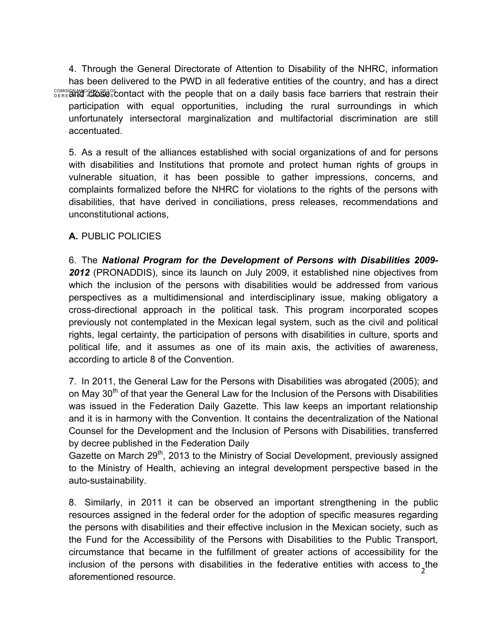**COMISION ACIONS CONTACT CONTROL** COMISION MACION COMISION CONTROL CONTROL CONTROL CONTROL CONTROL CONTROL CONTROL CONTROL CONTROL CONTROL CONTROL CONTROL CONTROL CONTROL CONTROL CONTROL CONTROL CONTROL CONTROL CONTROL CON 4. Through the General Directorate of Attention to Disability of the NHRC, information has been delivered to the PWD in all federative entities of the country, and has a direct participation with equal opportunities, including the rural surroundings in which unfortunately intersectoral marginalization and multifactorial discrimination are still accentuated.

5. As a result of the alliances established with social organizations of and for persons with disabilities and Institutions that promote and protect human rights of groups in vulnerable situation, it has been possible to gather impressions, concerns, and complaints formalized before the NHRC for violations to the rights of the persons with disabilities, that have derived in conciliations, press releases, recommendations and unconstitutional actions,

#### **A.** PUBLIC POLICIES

6. The *National Program for the Development of Persons with Disabilities 2009- 2012* (PRONADDIS), since its launch on July 2009, it established nine objectives from which the inclusion of the persons with disabilities would be addressed from various perspectives as a multidimensional and interdisciplinary issue, making obligatory a cross-directional approach in the political task. This program incorporated scopes previously not contemplated in the Mexican legal system, such as the civil and political rights, legal certainty, the participation of persons with disabilities in culture, sports and political life, and it assumes as one of its main axis, the activities of awareness, according to article 8 of the Convention.

7. In 2011, the General Law for the Persons with Disabilities was abrogated (2005); and on May  $30<sup>th</sup>$  of that year the General Law for the Inclusion of the Persons with Disabilities was issued in the Federation Daily Gazette. This law keeps an important relationship and it is in harmony with the Convention. It contains the decentralization of the National Counsel for the Development and the Inclusion of Persons with Disabilities, transferred by decree published in the Federation Daily

Gazette on March 29<sup>th</sup>, 2013 to the Ministry of Social Development, previously assigned to the Ministry of Health, achieving an integral development perspective based in the auto-sustainability.

inclusion of the persons with disabilities in the federative entities with access to the  $\frac{1}{2}$ 8. Similarly, in 2011 it can be observed an important strengthening in the public resources assigned in the federal order for the adoption of specific measures regarding the persons with disabilities and their effective inclusion in the Mexican society, such as the Fund for the Accessibility of the Persons with Disabilities to the Public Transport, circumstance that became in the fulfillment of greater actions of accessibility for the aforementioned resource.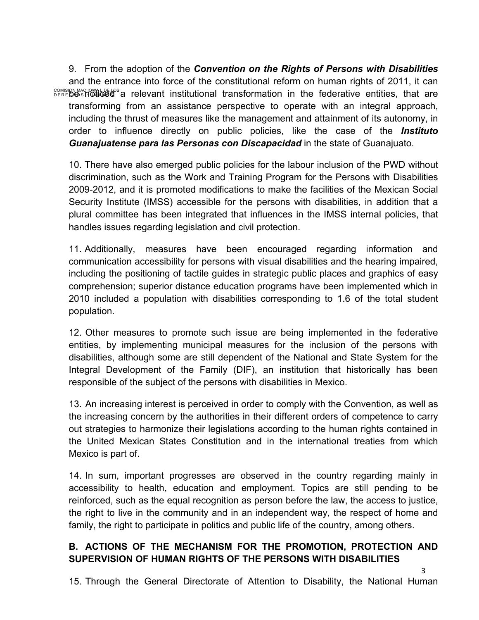COMISION MACHOLOGE APS a relevant institutional transformation in the federative entities, that are 9. From the adoption of the *Convention on the Rights of Persons with Disabilities* and the entrance into force of the constitutional reform on human rights of 2011, it can transforming from an assistance perspective to operate with an integral approach, including the thrust of measures like the management and attainment of its autonomy, in order to influence directly on public policies, like the case of the *Instituto Guanajuatense para las Personas con Discapacidad* in the state of Guanajuato.

10. There have also emerged public policies for the labour inclusion of the PWD without discrimination, such as the Work and Training Program for the Persons with Disabilities 2009-2012, and it is promoted modifications to make the facilities of the Mexican Social Security Institute (IMSS) accessible for the persons with disabilities, in addition that a plural committee has been integrated that influences in the IMSS internal policies, that handles issues regarding legislation and civil protection.

11. Additionally, measures have been encouraged regarding information and communication accessibility for persons with visual disabilities and the hearing impaired, including the positioning of tactile guides in strategic public places and graphics of easy comprehension; superior distance education programs have been implemented which in 2010 included a population with disabilities corresponding to 1.6 of the total student population.

12. Other measures to promote such issue are being implemented in the federative entities, by implementing municipal measures for the inclusion of the persons with disabilities, although some are still dependent of the National and State System for the Integral Development of the Family (DIF), an institution that historically has been responsible of the subject of the persons with disabilities in Mexico.

13. An increasing interest is perceived in order to comply with the Convention, as well as the increasing concern by the authorities in their different orders of competence to carry out strategies to harmonize their legislations according to the human rights contained in the United Mexican States Constitution and in the international treaties from which Mexico is part of.

14. In sum, important progresses are observed in the country regarding mainly in accessibility to health, education and employment. Topics are still pending to be reinforced, such as the equal recognition as person before the law, the access to justice, the right to live in the community and in an independent way, the respect of home and family, the right to participate in politics and public life of the country, among others.

## **B. ACTIONS OF THE MECHANISM FOR THE PROMOTION, PROTECTION AND SUPERVISION OF HUMAN RIGHTS OF THE PERSONS WITH DISABILITIES**

15. Through the General Directorate of Attention to Disability, the National Human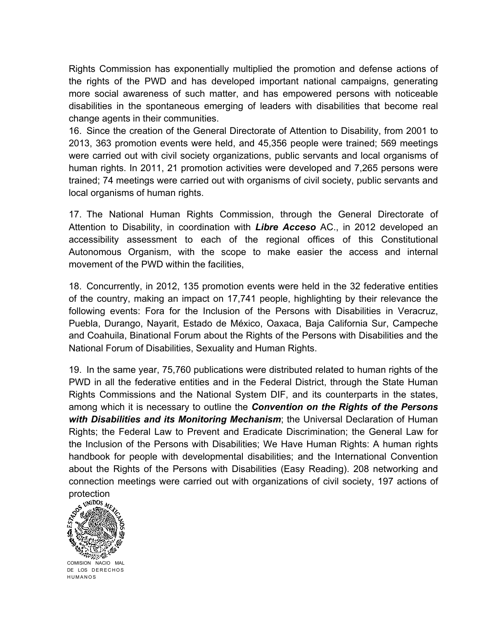Rights Commission has exponentially multiplied the promotion and defense actions of the rights of the PWD and has developed important national campaigns, generating more social awareness of such matter, and has empowered persons with noticeable disabilities in the spontaneous emerging of leaders with disabilities that become real change agents in their communities.

16. Since the creation of the General Directorate of Attention to Disability, from 2001 to 2013, 363 promotion events were held, and 45,356 people were trained; 569 meetings were carried out with civil society organizations, public servants and local organisms of human rights. In 2011, 21 promotion activities were developed and 7,265 persons were trained; 74 meetings were carried out with organisms of civil society, public servants and local organisms of human rights.

17. The National Human Rights Commission, through the General Directorate of Attention to Disability, in coordination with *Libre Acceso* AC., in 2012 developed an accessibility assessment to each of the regional offices of this Constitutional Autonomous Organism, with the scope to make easier the access and internal movement of the PWD within the facilities,

18. Concurrently, in 2012, 135 promotion events were held in the 32 federative entities of the country, making an impact on 17,741 people, highlighting by their relevance the following events: Fora for the Inclusion of the Persons with Disabilities in Veracruz, Puebla, Durango, Nayarit, Estado de México, Oaxaca, Baja California Sur, Campeche and Coahuila, Binational Forum about the Rights of the Persons with Disabilities and the National Forum of Disabilities, Sexuality and Human Rights.

19. In the same year, 75,760 publications were distributed related to human rights of the PWD in all the federative entities and in the Federal District, through the State Human Rights Commissions and the National System DIF, and its counterparts in the states, among which it is necessary to outline the *Convention on the Rights of the Persons with Disabilities and its Monitoring Mechanism*; the Universal Declaration of Human Rights; the Federal Law to Prevent and Eradicate Discrimination; the General Law for the Inclusion of the Persons with Disabilities; We Have Human Rights: A human rights handbook for people with developmental disabilities; and the International Convention about the Rights of the Persons with Disabilities (Easy Reading). 208 networking and connection meetings were carried out with organizations of civil society, 197 actions of



COMISION NACIO MAL DE LOS DERECHOS HUMANOS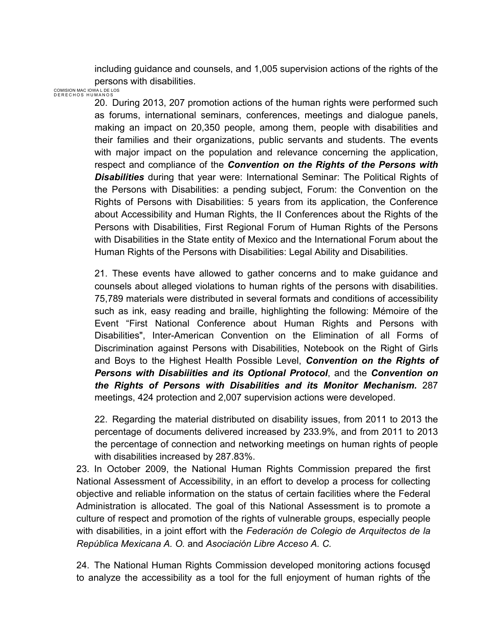including guidance and counsels, and 1,005 supervision actions of the rights of the persons with disabilities.

COMISION MAC IOWA L DE LOS DERECHOS HUMANOS

20. During 2013, 207 promotion actions of the human rights were performed such as forums, international seminars, conferences, meetings and dialogue panels, making an impact on 20,350 people, among them, people with disabilities and their families and their organizations, public servants and students. The events with major impact on the population and relevance concerning the application, respect and compliance of the *Convention on the Rights of the Persons with Disabilities* during that year were: International Seminar: The Political Rights of the Persons with Disabilities: a pending subject, Forum: the Convention on the Rights of Persons with Disabilities: 5 years from its application, the Conference about Accessibility and Human Rights, the II Conferences about the Rights of the Persons with Disabilities, First Regional Forum of Human Rights of the Persons with Disabilities in the State entity of Mexico and the International Forum about the Human Rights of the Persons with Disabilities: Legal Ability and Disabilities.

21. These events have allowed to gather concerns and to make guidance and counsels about alleged violations to human rights of the persons with disabilities. 75,789 materials were distributed in several formats and conditions of accessibility such as ink, easy reading and braille, highlighting the following: Mémoire of the Event "First National Conference about Human Rights and Persons with Disabilities", Inter-American Convention on the Elimination of all Forms of Discrimination against Persons with Disabilities, Notebook on the Right of Girls and Boys to the Highest Health Possible Level, *Convention on the Rights of Persons with Disabiiities and its Optional Protocol*, and the *Convention on the Rights of Persons with Disabilities and its Monitor Mechanism.* 287 meetings, 424 protection and 2,007 supervision actions were developed.

22. Regarding the material distributed on disability issues, from 2011 to 2013 the percentage of documents delivered increased by 233.9%, and from 2011 to 2013 the percentage of connection and networking meetings on human rights of people with disabilities increased by 287.83%.

23. In October 2009, the National Human Rights Commission prepared the first National Assessment of Accessibility, in an effort to develop a process for collecting objective and reliable information on the status of certain facilities where the Federal Administration is allocated. The goal of this National Assessment is to promote a culture of respect and promotion of the rights of vulnerable groups, especially people with disabilities, in a joint effort with the *Federación de Colegio de Arquitectos de la República Mexicana A. O.* and *Asociación Libre Acceso A. C.*

24. The National Human Rights Commission developed monitoring actions focused to analyze the accessibility as a tool for the full enjoyment of human rights of the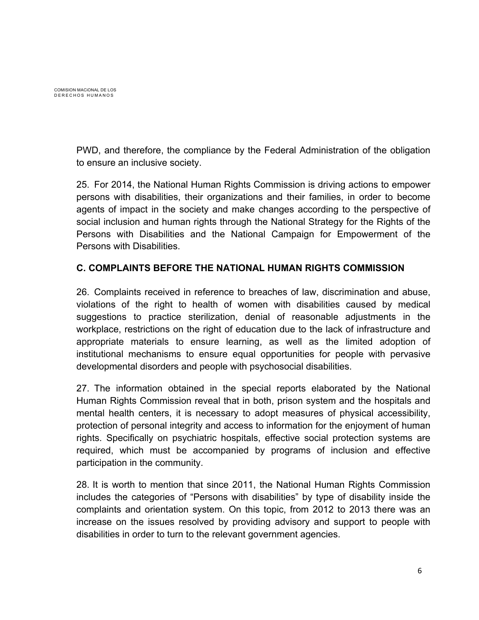PWD, and therefore, the compliance by the Federal Administration of the obligation to ensure an inclusive society.

25. For 2014, the National Human Rights Commission is driving actions to empower persons with disabilities, their organizations and their families, in order to become agents of impact in the society and make changes according to the perspective of social inclusion and human rights through the National Strategy for the Rights of the Persons with Disabilities and the National Campaign for Empowerment of the Persons with Disabilities.

## **C. COMPLAINTS BEFORE THE NATIONAL HUMAN RIGHTS COMMISSION**

26. Complaints received in reference to breaches of law, discrimination and abuse, violations of the right to health of women with disabilities caused by medical suggestions to practice sterilization, denial of reasonable adjustments in the workplace, restrictions on the right of education due to the lack of infrastructure and appropriate materials to ensure learning, as well as the limited adoption of institutional mechanisms to ensure equal opportunities for people with pervasive developmental disorders and people with psychosocial disabilities.

27. The information obtained in the special reports elaborated by the National Human Rights Commission reveal that in both, prison system and the hospitals and mental health centers, it is necessary to adopt measures of physical accessibility, protection of personal integrity and access to information for the enjoyment of human rights. Specifically on psychiatric hospitals, effective social protection systems are required, which must be accompanied by programs of inclusion and effective participation in the community.

28. It is worth to mention that since 2011, the National Human Rights Commission includes the categories of "Persons with disabilities" by type of disability inside the complaints and orientation system. On this topic, from 2012 to 2013 there was an increase on the issues resolved by providing advisory and support to people with disabilities in order to turn to the relevant government agencies.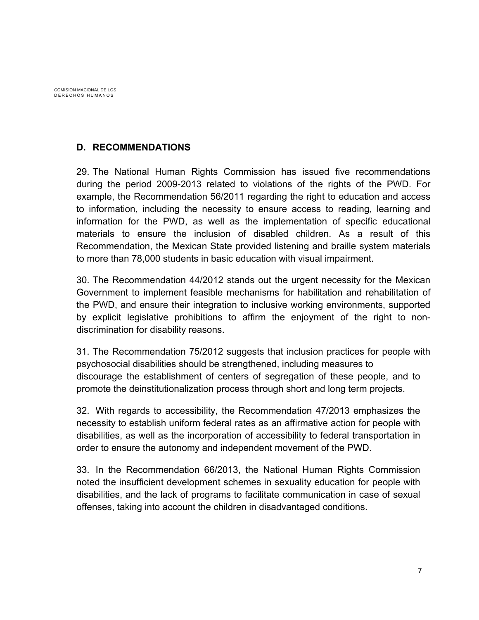# **D. RECOMMENDATIONS**

29. The National Human Rights Commission has issued five recommendations during the period 2009-2013 related to violations of the rights of the PWD. For example, the Recommendation 56/2011 regarding the right to education and access to information, including the necessity to ensure access to reading, learning and information for the PWD, as well as the implementation of specific educational materials to ensure the inclusion of disabled children. As a result of this Recommendation, the Mexican State provided listening and braille system materials to more than 78,000 students in basic education with visual impairment.

30. The Recommendation 44/2012 stands out the urgent necessity for the Mexican Government to implement feasible mechanisms for habilitation and rehabilitation of the PWD, and ensure their integration to inclusive working environments, supported by explicit legislative prohibitions to affirm the enjoyment of the right to nondiscrimination for disability reasons.

31. The Recommendation 75/2012 suggests that inclusion practices for people with psychosocial disabilities should be strengthened, including measures to discourage the establishment of centers of segregation of these people, and to promote the deinstitutionalization process through short and long term projects.

32. With regards to accessibility, the Recommendation 47/2013 emphasizes the necessity to establish uniform federal rates as an affirmative action for people with disabilities, as well as the incorporation of accessibility to federal transportation in order to ensure the autonomy and independent movement of the PWD.

33. In the Recommendation 66/2013, the National Human Rights Commission noted the insufficient development schemes in sexuality education for people with disabilities, and the lack of programs to facilitate communication in case of sexual offenses, taking into account the children in disadvantaged conditions.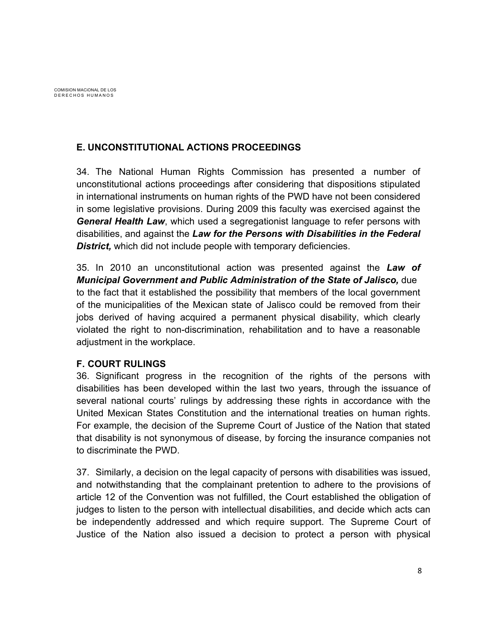## **E. UNCONSTITUTIONAL ACTIONS PROCEEDINGS**

34. The National Human Rights Commission has presented a number of unconstitutional actions proceedings after considering that dispositions stipulated in international instruments on human rights of the PWD have not been considered in some legislative provisions. During 2009 this faculty was exercised against the *General Health Law*, which used a segregationist language to refer persons with disabilities, and against the *Law for the Persons with Disabilities in the Federal District,* which did not include people with temporary deficiencies.

35. In 2010 an unconstitutional action was presented against the *Law of Municipal Government and Public Administration of the State of Jalisco,* due to the fact that it established the possibility that members of the local government of the municipalities of the Mexican state of Jalisco could be removed from their jobs derived of having acquired a permanent physical disability, which clearly violated the right to non-discrimination, rehabilitation and to have a reasonable adjustment in the workplace.

#### **F. COURT RULINGS**

36. Significant progress in the recognition of the rights of the persons with disabilities has been developed within the last two years, through the issuance of several national courts' rulings by addressing these rights in accordance with the United Mexican States Constitution and the international treaties on human rights. For example, the decision of the Supreme Court of Justice of the Nation that stated that disability is not synonymous of disease, by forcing the insurance companies not to discriminate the PWD.

37. Similarly, a decision on the legal capacity of persons with disabilities was issued, and notwithstanding that the complainant pretention to adhere to the provisions of article 12 of the Convention was not fulfilled, the Court established the obligation of judges to listen to the person with intellectual disabilities, and decide which acts can be independently addressed and which require support. The Supreme Court of Justice of the Nation also issued a decision to protect a person with physical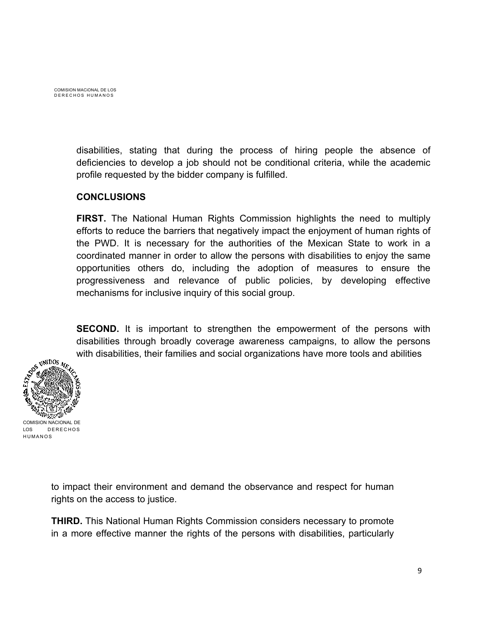

disabilities, stating that during the process of hiring people the absence of deficiencies to develop a job should not be conditional criteria, while the academic profile requested by the bidder company is fulfilled.

#### **CONCLUSIONS**

**FIRST.** The National Human Rights Commission highlights the need to multiply efforts to reduce the barriers that negatively impact the enjoyment of human rights of the PWD. It is necessary for the authorities of the Mexican State to work in a coordinated manner in order to allow the persons with disabilities to enjoy the same opportunities others do, including the adoption of measures to ensure the progressiveness and relevance of public policies, by developing effective mechanisms for inclusive inquiry of this social group.

**SECOND.** It is important to strengthen the empowerment of the persons with disabilities through broadly coverage awareness campaigns, to allow the persons with disabilities, their families and social organizations have more tools and abilities



to impact their environment and demand the observance and respect for human rights on the access to justice.

**THIRD.** This National Human Rights Commission considers necessary to promote in a more effective manner the rights of the persons with disabilities, particularly